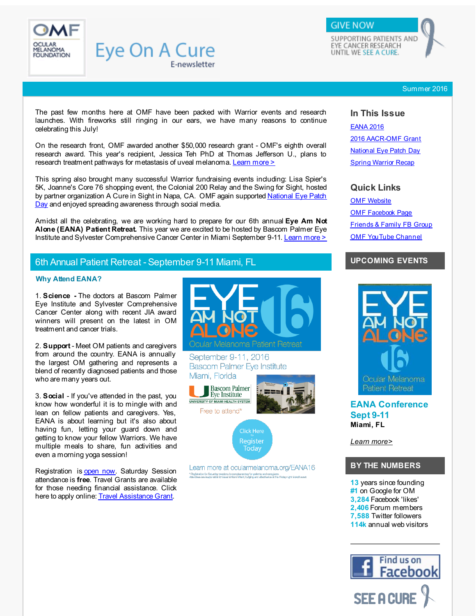<span id="page-0-1"></span>

#### Summer 2016

The past few months here at OMF have been packed with Warrior events and research launches. With fireworks still ringing in our ears, we have many reasons to continue celebrating this July!

E-newsletter

**Eye On A Cure** 

On the research front, OMF awarded another \$50,000 research grant - OMF's eighth overall research award. This year's recipient, Jessica Teh PhD at Thomas Jefferson U., plans to research treatment pathways for metastasis of uveal melanoma. [Learn](#page-1-0) more >

This spring also brought many successful Warrior fundraising events including: Lisa Spier's 5K, Joanne's Core 76 shopping event, the Colonial 200 Relay and the Swing for Sight, hosted by partner [organization](#page-1-1) A Cure in Sight in Napa, CA. OMF again supported National Eye Patch Day and enjoyed spreading awareness through social media.

Amidst all the celebrating, we are working hard to prepare for our 6th annual **Eye Am Not Alone (EANA) Patient Retreat.** This year we are excited to be hosted by Bascom Palmer Eye Institute and Sylvester Comprehensive Cancer Center in Miami September 9-11. [Learn](#page-0-0) more >

# 6th Annual Patient Retreat - September 9-11 Miami, FL

#### <span id="page-0-0"></span>**Why Attend EANA?**

1. **Science -** The doctors at Bascom Palmer Eye Institute and Sylvester Comprehensive Cancer Center along with recent JIA award winners will present on the latest in OM treatment and cancer trials.

2. **Support** - Meet OM patients and caregivers from around the country. EANA is annually the largest OM gathering and represents a blend of recently diagnosed patients and those who are many years out.

3. **Social** - If you've attended in the past, you know how wonderful it is to mingle with and lean on fellow patients and caregivers. Yes, EANA is about learning but it's also about having fun, letting your guard down and getting to know your fellow Warriors. We have multiple meals to share, fun activities and even a morning yoga session!

Registration is [open](http://r20.rs6.net/tn.jsp?f=001EGYB8uHb7yGjefA8Lvmk9JhLDi_acl8IkR3FXjtlYiluhywGAZrPIoYEaMKZb7gbcijAIWQCcdcZRnL0_YZrIdRJgZOwtB4V6RikzuUr2J0O9Z4BJzcfNtIyI1BhCj9OUzoWwUG880LIhKWJFelb0CHB-zeYn57gnMzeOlnhYUfG1TGvxu9DGGUzMXEfx5oshLfdq75slM6CtrW2hHKIaV7HzFIzTjAK3q5ctMeJH27aUnZ85_rtpkuyThblXFKFXFw1POwqqpaR_dvOEOkW608WNRUq_0a8czIrwO3ZHFZfujIlv9z9xwRiKzEuxu663Xs0P47E_7aK_MB2ikP7NpJC2lqgMlBzF2d0owiW37TOTGg2OQm21Ewx9TVWcCL9xsFHx8A6w9-qAtESm2V5zU1L7eIat3RypRyIx3XfleQ=&c=&ch=) now. Saturday Session attendance is **free**. Travel Grants are available for those needing financial assistance. Click here to apply online: Travel [Assistance](http://r20.rs6.net/tn.jsp?f=001EGYB8uHb7yGjefA8Lvmk9JhLDi_acl8IkR3FXjtlYiluhywGAZrPIv0K9zoRtQU3a1bfY603wCSdaJ3iBZYwUmVNXtZ2__6a5h7y-3zTs8k4iuodPSM1A3ihceEwnykKuG0xrrRQokH-BkYPMjM4nfHt8vCy-4OTOzn9Inw_IVDUPVcOaL6dnxHRdGHG9jV_0Vozw1QzGaZHebhJ5ikHcLXXKzDP7K2NZF1veIc5iXP6Aqxu4LmLwUmcION_5MW_EUf_a8aNcqGW0QS1-plL51VWppAw1ehFlqKp9-SFlOlPkv0qWmavT-qQ30Zjd9wXvEUO2igk6uq1DVIHzskZjg==&c=&ch=) Grant.



September 9-11, 2016 **Bascom Palmer Eye Institute** Miami, Florida



Learn more at ocularmelanoma.org/EANA16 " Registration for Saturday sessions is complementary for patients and caregivers<br>Attendese are responsible for travel to/irom Miami, lodging and attechance at the Filday night Mokoff event:

### **In This Issue**

[EANA](#page-0-1) 2016 2016 [AACR-OMF](#page-0-1) Grant [National](#page-0-1) Eye Patch Day **Spring [Warrior](#page-0-1) Recap** 

## **Quick Links**

OMF [Website](http://r20.rs6.net/tn.jsp?f=001EGYB8uHb7yGjefA8Lvmk9JhLDi_acl8IkR3FXjtlYiluhywGAZrPIuSq4oB0QeEjrxwIubs3ZBdXbOFwMCk1th5UAaHVh43_LWFzpmyJNdF3UFmGT96YQecO1rYoMDHyio6BOIAgfGpUVYCe95c39naeVlNy8D-p2Qb31Rr7R3gui5y1bGSmcC2cvKfL8b0KnOl_VdLx3C5oqXvtPz2dauoQM68SqaILHQRUox4vDI-tlqTavORiXbc-11UjoXGMPjdKLkF9tc_OLtW4Si24Yx2wJM1LKz-IvGuR1AfpJ-OvOvfr5Wh0kMQnrZ0iio2C&c=&ch=) OMF [Facebook](http://r20.rs6.net/tn.jsp?f=001EGYB8uHb7yGjefA8Lvmk9JhLDi_acl8IkR3FXjtlYiluhywGAZrPIsfcSa-RpM0hv38nQM9j03KUY4b06OA94ogjV3jQiEfRatBB7VeKXxwH0-MFlwt48Y2NpzqKMSSnbrBNiSUUGssivU3LQAQY_E7G3rZaLE8VBc5yGCmdwx8-hvQNWPnDm0x3iKtswVqq&c=&ch=) Page [Friends](http://r20.rs6.net/tn.jsp?f=001EGYB8uHb7yGjefA8Lvmk9JhLDi_acl8IkR3FXjtlYiluhywGAZrPIrdTn870NLdPVYV8LBjj1zjVa6UXnNZxSjIdVmyOhttRGC7FIh-fDNQpF5qs5FahXTvAACIJtctjGU7BuhZYyzPq91MY56IVig5a3h1VX9DhoYcy2ELXA30gxxjTLM1Yu3tZY1zIpQHv7DRnBgUGM7Q=&c=&ch=) & Family FB Group OMF [YouTube](http://r20.rs6.net/tn.jsp?f=001EGYB8uHb7yGjefA8Lvmk9JhLDi_acl8IkR3FXjtlYiluhywGAZrPIoYEaMKZb7gbDW_B04K9gc8Rh_Fq6AehyLOUZ64TVqs-JYD-FD01bpukygbKVJNmGobC9cv-8DbC0KdnHLPLPqRj9P6m0ejDxYwhwIW0xCjf_hDALhq9GGc8Nhtr2Z4x0FTH5N0-x1ySuzPgKkRwZqOLgKljF5rvTUDB0NvUCllD&c=&ch=) Channel

## **UPCOMING EVENTS**



**EANA Conference Sept 9-11 Miami, FL**

*Learn [more>](http://r20.rs6.net/tn.jsp?f=001EGYB8uHb7yGjefA8Lvmk9JhLDi_acl8IkR3FXjtlYiluhywGAZrPIkBECBMfAJXN00bzkReInhsY-ydy7up0B0J5iW937ZYkrd5q7UEWJ2s88bReGw9mjA5v_nAbFBFIdAuKm0Bx0OLxBa9cAKVdZ2fEoVjvIhya0suqnSX6Y3OQ_8WUP24NSR17y5wYX_iel8MxMGmn1nAdcb5lH9DxT46_hNbIqzLNgU8vW3z4UKHCHJN6hCahOvE1NKuH-ui2AxotRdaBVowQKx_21VgQnlHODHY7-1AlZ331SgdKWn1sZn0OSx2nIn7SFGUokN9x&c=&ch=)*

## **BY THE NUMBERS**

**13** years since founding **#1** on Google for OM **3,284** Facebook 'likes' **2,406** Forum members **7,588** Twitter followers **114k** annual web visitors

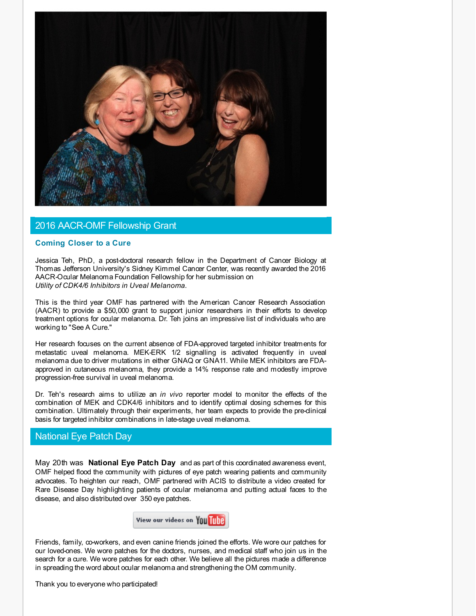

## 2016 AACR-OMF Fellowship Grant

#### <span id="page-1-0"></span>**Coming Closer to a Cure**

Jessica Teh, PhD, a post-doctoral research fellow in the Department of Cancer Biology at Thomas Jefferson University's Sidney Kimmel Cancer Center, was recently awarded the 2016 AACR-Ocular Melanoma Foundation Fellowship for her submission on *Utility of CDK4/6 Inhibitors in Uveal Melanoma.*

This is the third year OMF has partnered with the American Cancer Research Association (AACR) to provide a \$50,000 grant to support junior researchers in their efforts to develop treatment options for ocular melanoma. Dr. Teh joins an impressive list of individuals who are working to "See A Cure."

Her research focuses on the current absence of FDA-approved targeted inhibitor treatments for metastatic uveal melanoma. MEK-ERK 1/2 signalling is activated frequently in uveal melanoma due to driver mutations in either GNAQ or GNA11. While MEK inhibitors are FDAapproved in cutaneous melanoma, they provide a 14% response rate and modestly improve progression-free survival in uveal melanoma.

Dr. Teh's research aims to utilize an *in vivo* reporter model to monitor the effects of the combination of MEK and CDK4/6 inhibitors and to identify optimal dosing schemes for this combination. Ultimately through their experiments, her team expects to provide the pre-clinical basis for targeted inhibitor combinations in late-stage uveal melanoma.

## National Eye Patch Day

<span id="page-1-1"></span>May 20th was **National Eye Patch Day** and as part of this coordinated awareness event, OMF helped flood the community with pictures of eye patch wearing patients and community advocates. To heighten our reach, OMF partnered with ACIS to distribute a video created for Rare Disease Day highlighting patients of ocular melanoma and putting actual faces to the disease, and also distributed over 350 eye patches.



Friends, family, co-workers, and even canine friends joined the efforts. We wore our patches for our loved-ones. We wore patches for the doctors, nurses, and medical staff who join us in the search for a cure. We wore patches for each other. We believe all the pictures made a difference in spreading the word about ocular melanoma and strengthening the OM community.

Thank you to everyone who participated!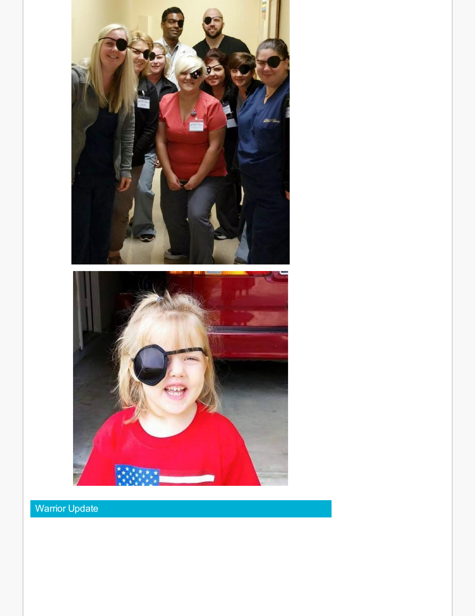

Warrior Update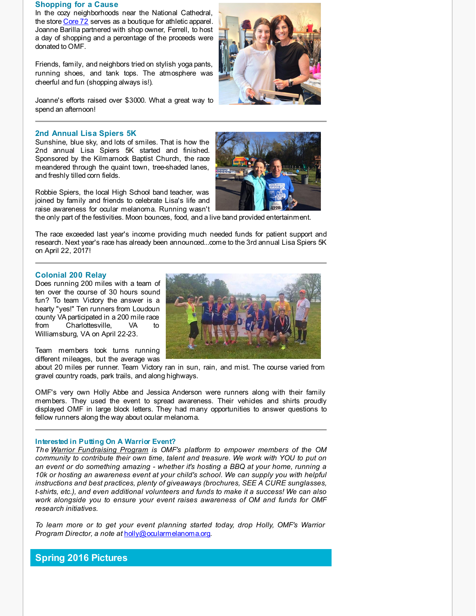#### **Shopping for a Cause**

In the cozy neighborhoods near the National Cathedral, the store [Core](http://r20.rs6.net/tn.jsp?f=001EGYB8uHb7yGjefA8Lvmk9JhLDi_acl8IkR3FXjtlYiluhywGAZrPIkBECBMfAJXNNH5tcf64ypn1_A_y6iYTq3IvI3jfdnfnZWD8LoUPsrIHu98kwpfq9o__SgTaen_Pi_Okl4P9c9yG3miRD9ktIzWEcQIUE-5GlvF6h9gRCbM-HGM8bvYVT_yCmlvJKx8D7gfV0At_cC9jJTiOXOZPeEtU5cKLtNlPWkvL3QMTDN1DEcZffjDSCv3eLPOzAFLAHeCq7PaXr_3ByG3vyIpvgKDw5qQxjeEUtFr7RCmQY96hOzdqUNh9oA==&c=&ch=) 72 serves as a boutique for athletic apparel. Joanne Barilla partnered with shop owner, Ferrell, to host a day of shopping and a percentage of the proceeds were donated to OMF.

Friends, family, and neighbors tried on stylish yoga pants, running shoes, and tank tops. The atmosphere was cheerful and fun (shopping always is!).

Joanne's efforts raised over \$3000. What a great way to spend an afternoon!



#### **2nd Annual Lisa Spiers 5K**

Sunshine, blue sky, and lots of smiles. That is how the 2nd annual Lisa Spiers 5K started and finished. Sponsored by the Kilmarnock Baptist Church, the race meandered through the quaint town, tree-shaded lanes, and freshly tilled corn fields.

Robbie Spiers, the local High School band teacher, was joined by family and friends to celebrate Lisa's life and raise awareness for ocular melanoma. Running wasn't

the only part of the festivities. Moon bounces, food, and a live band provided entertainment.

The race exceeded last year's income providing much needed funds for patient support and research. Next year's race has already been announced...come to the 3rd annual Lisa Spiers 5K on April 22, 2017!

#### **Colonial 200 Relay**

Does running 200 miles with a team of ten over the course of 30 hours sound fun? To team Victory the answer is a hearty "yes!" Ten runners from Loudoun county VA participated in a 200 mile race from Charlottesville, VA to Williamsburg, VA on April 22-23.

Team members took turns running different mileages, but the average was

about 20 miles per runner. Team Victory ran in sun, rain, and mist. The course varied from gravel country roads, park trails, and along highways.

OMF's very own Holly Abbe and Jessica Anderson were runners along with their family members. They used the event to spread awareness. Their vehicles and shirts proudly displayed OMF in large block letters. They had many opportunities to answer questions to fellow runners along the way about ocular melanoma.

#### **Interested in Putting On A Warrior Event?**

*The Warrior [Fundraising](http://r20.rs6.net/tn.jsp?f=001EGYB8uHb7yGjefA8Lvmk9JhLDi_acl8IkR3FXjtlYiluhywGAZrPIsfcSa-RpM0h3laM0RfZ2R3TDVu8LcpLukPGiBgnhfhpSrVi1xWqA3RoRpJ8QrSB_vG4gcOE81P4Bv8xuIsy3LlGQ4NhVL47wC6Kmje8qsArCWlmDXsZooe06-8a2RIWeP6rVaXqLLq_h58LDR6_g5bvZPCMc6ZiHRWXXuDSz1ZTk3tPhQpIlRWA55nor8ItOTUXtj3oO1013HTW_4-XFYRO86sg9jDrSs58Qu25vQy5pu3-j0mOHJ4PCOp0YjESWr7a7RZJHorQGW12k0XMP36tG__FlHvQcfLX1x2KGTDT&c=&ch=) Program is OMF's platform to empower members of the OM community to contribute their own time, talent and treasure. We work with YOU to put on an event or do something amazing - whether it's hosting a BBQ at your home, running a 10k or hosting an awareness event at your child's school. We can supply you with helpful instructions and best practices, plenty of giveaways (brochures, SEE A CURE sunglasses, t-shirts, etc.), and even additional volunteers and funds to make it a success! We can also work alongside you to ensure your event raises awareness of OM and funds for OMF research initiatives.*

*To learn more or to get your event planning started today, drop Holly, OMF's Warrior Program Director, a note at* [holly@ocularmelanoma.org](http://r20.rs6.net/tn.jsp?f=001EGYB8uHb7yGjefA8Lvmk9JhLDi_acl8IkR3FXjtlYiluhywGAZrPIgwbhE-oVcz3QHGZNmWugclwSBUwies0uq0HUPQrRWxMyY94ssAOuMExIouJv81hjciI1Dln3Wtw6GDNoPPhg4T_nM7Q16A0g5NA7xopMhGKDFCYKkoeACOMkQHW8-S_vtPn1ehuH5UIhf0nGlkzV-hean48-TSLogZtkb0W87gGossJuif0RHxuK0VlgCRcwb3aI86a4nNuFj0oUwPNBHN1z4Y4CQ4hoe5Jc27EV55yatnyeJCVxJ0aTUuQjSeQju_Kj2FKJc6pn6yEZY6qs5sTxX4b0cOUVuE_TAJb20pSMTPP0ZMtadPYx2q62O6A_R-eBBsdPn5SU3yHN2xsgTg4BzAU2WnJzQ==&c=&ch=).

**Spring 2016 Pictures**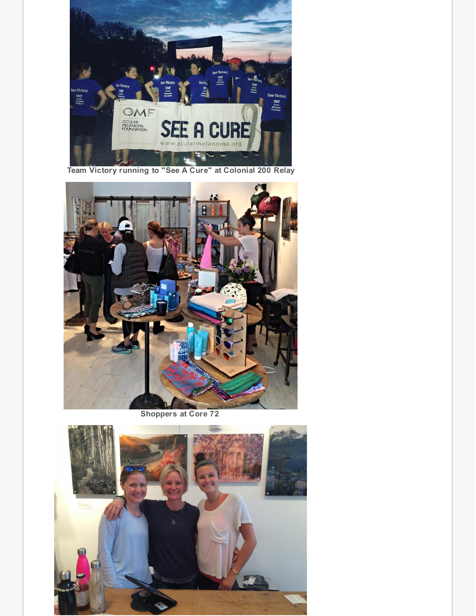

**Team Victory running to "See A Cure" at Colonial 200 Relay**



**Shoppers at Core 72**